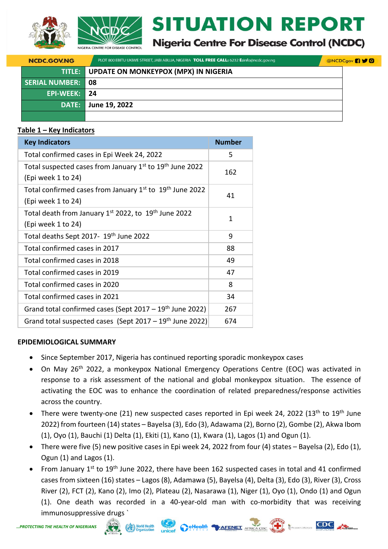



# **SITUATION REPORT**

**Nigeria Centre For Disease Control (NCDC)** 

**VO** 

| <b>NCDC.GOV.NG</b>       | PLOT 800 EBITU UKIWE STREET, JABI ABUJA, NIGERIA TOLL FREE CALL: 6232 E:info@ncdc.gov.ng | <b>@NCDCgov</b> |
|--------------------------|------------------------------------------------------------------------------------------|-----------------|
| <b>TITLE:</b>            | UPDATE ON MONKEYPOX (MPX) IN NIGERIA                                                     |                 |
| <b>SERIAL NUMBER: 08</b> |                                                                                          |                 |
| <b>EPI-WEEK: 24</b>      |                                                                                          |                 |
| DATE:                    | June 19, 2022                                                                            |                 |
|                          |                                                                                          |                 |

### **Table 1 – Key Indicators**

| <b>Key Indicators</b>                                                                                  | <b>Number</b> |
|--------------------------------------------------------------------------------------------------------|---------------|
| Total confirmed cases in Epi Week 24, 2022                                                             | 5             |
| Total suspected cases from January 1 <sup>st</sup> to 19 <sup>th</sup> June 2022<br>(Epi week 1 to 24) | 162           |
| Total confirmed cases from January 1 <sup>st</sup> to 19 <sup>th</sup> June 2022<br>(Epi week 1 to 24) | 41            |
| Total death from January 1st 2022, to 19th June 2022<br>(Epi week 1 to 24)                             | $\mathbf{1}$  |
| Total deaths Sept 2017- 19th June 2022                                                                 | q             |
| Total confirmed cases in 2017                                                                          | 88            |
| Total confirmed cases in 2018                                                                          | 49            |
| Total confirmed cases in 2019                                                                          | 47            |
| Total confirmed cases in 2020                                                                          | 8             |
| Total confirmed cases in 2021                                                                          | 34            |
| Grand total confirmed cases (Sept 2017 – 19 <sup>th</sup> June 2022)                                   | 267           |
| Grand total suspected cases (Sept 2017 - 19 <sup>th</sup> June 2022)                                   | 674           |

### **EPIDEMIOLOGICAL SUMMARY**

- Since September 2017, Nigeria has continued reporting sporadic monkeypox cases
- On May 26<sup>th</sup> 2022, a monkeypox National Emergency Operations Centre (EOC) was activated in response to a risk assessment of the national and global monkeypox situation. The essence of activating the EOC was to enhance the coordination of related preparedness/response activities across the country.
- There were twenty-one (21) new suspected cases reported in Epi week 24, 2022 (13<sup>th</sup> to 19<sup>th</sup> June 2022) from fourteen (14) states – Bayelsa (3), Edo (3), Adawama (2), Borno (2), Gombe (2), Akwa Ibom (1), Oyo (1), Bauchi (1) Delta (1), Ekiti (1), Kano (1), Kwara (1), Lagos (1) and Ogun (1).
- There were five (5) new positive cases in Epi week 24, 2022 from four (4) states Bayelsa (2), Edo (1), Ogun (1) and Lagos (1).
- From January 1<sup>st</sup> to 19<sup>th</sup> June 2022, there have been 162 suspected cases in total and 41 confirmed cases from sixteen (16) states – Lagos (8), Adamawa (5), Bayelsa (4), Delta (3), Edo (3), River (3), Cross River (2), FCT (2), Kano (2), Imo (2), Plateau (2), Nasarawa (1), Niger (1), Oyo (1), Ondo (1) and Ogun (1). One death was recorded in a 40-year-old man with co-morbidity that was receiving immunosuppressive drugs `



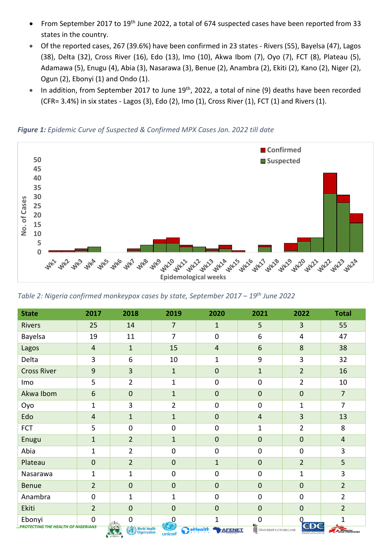- From September 2017 to 19<sup>th</sup> June 2022, a total of 674 suspected cases have been reported from 33 states in the country.
- Of the reported cases, 267 (39.6%) have been confirmed in 23 states Rivers (55), Bayelsa (47), Lagos (38), Delta (32), Cross River (16), Edo (13), Imo (10), Akwa Ibom (7), Oyo (7), FCT (8), Plateau (5), Adamawa (5), Enugu (4), Abia (3), Nasarawa (3), Benue (2), Anambra (2), Ekiti (2), Kano (2), Niger (2), Ogun (2), Ebonyi (1) and Ondo (1).
- In addition, from September 2017 to June 19<sup>th</sup>, 2022, a total of nine (9) deaths have been recorded (CFR= 3.4%) in six states - Lagos (3), Edo (2), Imo (1), Cross River (1), FCT (1) and Rivers (1).



*Figure 1: Epidemic Curve of Suspected & Confirmed MPX Cases Jan. 2022 till date*

| <b>State</b>                        | 2017             | 2018                        | 2019           | 2020                      | 2021                   | 2022           | <b>Total</b>   |
|-------------------------------------|------------------|-----------------------------|----------------|---------------------------|------------------------|----------------|----------------|
| <b>Rivers</b>                       | 25               | 14                          | $\overline{7}$ | $\mathbf{1}$              | 5                      | 3              | 55             |
| Bayelsa                             | 19               | 11                          | $\overline{7}$ | $\mathbf 0$               | 6                      | 4              | 47             |
| Lagos                               | $\overline{4}$   | $1\,$                       | 15             | $\overline{4}$            | 6                      | 8              | 38             |
| Delta                               | 3                | 6                           | 10             | 1                         | 9                      | 3              | 32             |
| <b>Cross River</b>                  | $\overline{9}$   | 3                           | $\mathbf{1}$   | $\overline{0}$            | $\mathbf{1}$           | $\overline{2}$ | 16             |
| Imo                                 | 5                | $\overline{2}$              | $\mathbf{1}$   | $\mathbf 0$               | $\mathbf 0$            | $\overline{2}$ | 10             |
| Akwa Ibom                           | $\boldsymbol{6}$ | $\mathbf 0$                 | $\mathbf{1}$   | $\mathbf 0$               | $\mathbf 0$            | $\mathbf 0$    | $\overline{7}$ |
| Oyo                                 | $\overline{1}$   | 3                           | $\overline{2}$ | $\overline{0}$            | 0                      | 1              | $\overline{7}$ |
| Edo                                 | $\overline{4}$   | $\mathbf{1}$                | $\mathbf{1}$   | $\mathbf 0$               | $\overline{4}$         | 3              | 13             |
| <b>FCT</b>                          | 5                | $\mathbf 0$                 | $\mathbf 0$    | $\mathbf 0$               | $\mathbf{1}$           | $\overline{2}$ | 8              |
| Enugu                               | $\mathbf{1}$     | $\overline{2}$              | $\mathbf{1}$   | $\mathbf 0$               | $\mathbf 0$            | $\mathbf 0$    | $\overline{4}$ |
| Abia                                | 1                | 2                           | $\mathbf 0$    | $\mathbf 0$               | $\mathbf 0$            | $\mathbf 0$    | 3              |
| Plateau                             | $\mathbf 0$      | $\overline{2}$              | $\mathbf 0$    | $\mathbf{1}$              | $\mathbf 0$            | $\overline{2}$ | 5              |
| Nasarawa                            | $\mathbf 1$      | $\mathbf{1}$                | $\mathbf 0$    | $\mathbf 0$               | $\mathbf 0$            | $\mathbf{1}$   | 3              |
| <b>Benue</b>                        | $\overline{2}$   | $\mathbf 0$                 | $\mathbf 0$    | $\mathbf 0$               | $\mathbf 0$            | $\mathbf 0$    | $\overline{2}$ |
| Anambra                             | $\mathbf 0$      | 1                           | $\mathbf 1$    | $\overline{0}$            | $\mathbf 0$            | $\mathbf 0$    | $\overline{2}$ |
| Ekiti                               | $\overline{2}$   | $\mathbf 0$                 | $\overline{0}$ | $\overline{0}$            | $\mathbf 0$            | $\overline{0}$ | $\overline{2}$ |
| Ebonyi                              | $\overline{0}$   | $\mathbf 0$                 | 0              | 1                         | 0                      |                | 1              |
| PROTECTING THE HEALTH OF NIGERIANS. |                  | <b>EXEC</b><br>World Health | unicef         | <b>OeHealth</b><br>AEENET | UNIVERSITY of MARYLAND | $\oplus$       | MEDECINA       |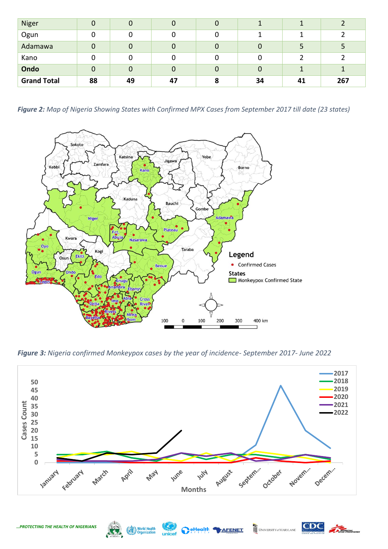| Niger              |    | 0  | Ü  | 0         |    |    |     |
|--------------------|----|----|----|-----------|----|----|-----|
| Ogun               |    |    |    |           |    |    |     |
| Adamawa            |    | 0  | O  | 0         | 0  |    |     |
| Kano               |    |    |    |           | 0  |    |     |
| Ondo               |    | 0  | 0  | $\Omega$  | 0  |    |     |
| <b>Grand Total</b> | 88 | 49 | 47 | $\bullet$ | 34 | 41 | 267 |

*Figure 2: Map of Nigeria Showing States with Confirmed MPX Cases from September 2017 till date (23 states)*



*Figure 3: Nigeria confirmed Monkeypox cases by the year of incidence- September 2017- June 2022*







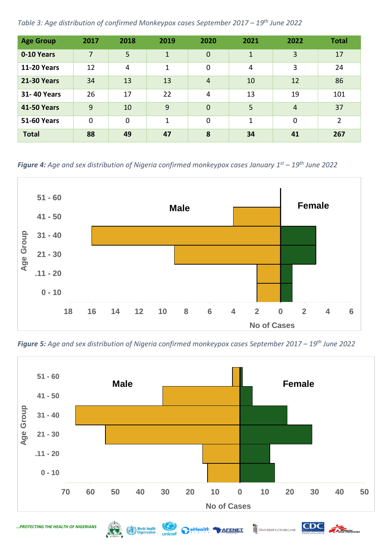| Table 3: Age distribution of confirmed Monkeypox cases September 2017 - 19 <sup>th</sup> June 2022 |  |  |  |  |  |
|----------------------------------------------------------------------------------------------------|--|--|--|--|--|
|----------------------------------------------------------------------------------------------------|--|--|--|--|--|

| <b>Age Group</b>   | 2017           | 2018        | 2019         | 2020           | 2021         | 2022           | <b>Total</b>   |
|--------------------|----------------|-------------|--------------|----------------|--------------|----------------|----------------|
| 0-10 Years         | $\overline{7}$ | 5           | $\mathbf{1}$ | $\overline{0}$ | $\mathbf{1}$ | 3              | 17             |
| <b>11-20 Years</b> | 12             | 4           | $\mathbf 1$  | $\mathbf 0$    | 4            | 3              | 24             |
| <b>21-30 Years</b> | 34             | 13          | 13           | $\overline{4}$ | 10           | 12             | 86             |
| 31-40 Years        | 26             | 17          | 22           | 4              | 13           | 19             | 101            |
| <b>41-50 Years</b> | 9              | 10          | 9            | $\overline{0}$ | 5            | $\overline{4}$ | 37             |
| <b>51-60 Years</b> | $\mathbf 0$    | $\mathbf 0$ | 1            | $\mathbf 0$    | 1            | $\mathbf 0$    | $\overline{2}$ |
| <b>Total</b>       | 88             | 49          | 47           | 8              | 34           | 41             | 267            |

*Figure 4: Age and sex distribution of Nigeria confirmed monkeypox cases January 1 st – 19th June 2022*



*Figure 5: Age and sex distribution of Nigeria confirmed monkeypox cases September 2017 – 19 th June 2022*







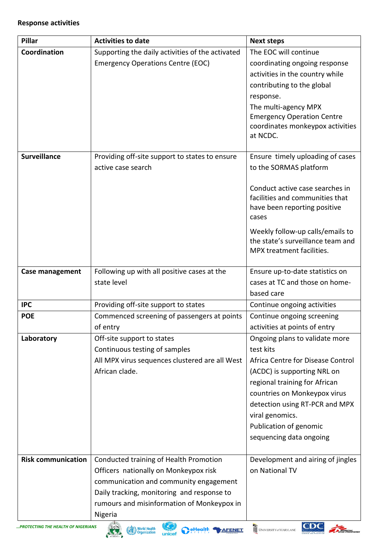## **Response activities**

| Pillar<br><b>Activities to date</b>                                   | <b>Next steps</b>                                                     |
|-----------------------------------------------------------------------|-----------------------------------------------------------------------|
| Coordination<br>Supporting the daily activities of the activated      | The EOC will continue                                                 |
| <b>Emergency Operations Centre (EOC)</b>                              | coordinating ongoing response                                         |
|                                                                       | activities in the country while                                       |
|                                                                       | contributing to the global                                            |
|                                                                       | response.                                                             |
|                                                                       | The multi-agency MPX                                                  |
|                                                                       | <b>Emergency Operation Centre</b><br>coordinates monkeypox activities |
|                                                                       | at NCDC.                                                              |
|                                                                       |                                                                       |
| <b>Surveillance</b><br>Providing off-site support to states to ensure | Ensure timely uploading of cases                                      |
| active case search                                                    | to the SORMAS platform                                                |
|                                                                       |                                                                       |
|                                                                       | Conduct active case searches in<br>facilities and communities that    |
|                                                                       | have been reporting positive                                          |
|                                                                       | cases                                                                 |
|                                                                       | Weekly follow-up calls/emails to                                      |
|                                                                       | the state's surveillance team and                                     |
|                                                                       | MPX treatment facilities.                                             |
|                                                                       |                                                                       |
| Following up with all positive cases at the<br>Case management        | Ensure up-to-date statistics on                                       |
| state level                                                           | cases at TC and those on home-                                        |
|                                                                       | based care                                                            |
| <b>IPC</b><br>Providing off-site support to states                    | Continue ongoing activities                                           |
| <b>POE</b><br>Commenced screening of passengers at points             | Continue ongoing screening                                            |
| of entry                                                              | activities at points of entry                                         |
| Laboratory<br>Off-site support to states                              | Ongoing plans to validate more                                        |
| Continuous testing of samples                                         | test kits                                                             |
| All MPX virus sequences clustered are all West                        | Africa Centre for Disease Control                                     |
| African clade.                                                        | (ACDC) is supporting NRL on                                           |
|                                                                       | regional training for African                                         |
|                                                                       | countries on Monkeypox virus                                          |
|                                                                       | detection using RT-PCR and MPX                                        |
|                                                                       | viral genomics.<br>Publication of genomic                             |
|                                                                       |                                                                       |
|                                                                       | sequencing data ongoing                                               |
| <b>Risk communication</b><br>Conducted training of Health Promotion   | Development and airing of jingles                                     |
| Officers nationally on Monkeypox risk                                 | on National TV                                                        |
| communication and community engagement                                |                                                                       |
| Daily tracking, monitoring and response to                            |                                                                       |
| rumours and misinformation of Monkeypox in                            |                                                                       |
| Nigeria                                                               |                                                                       |